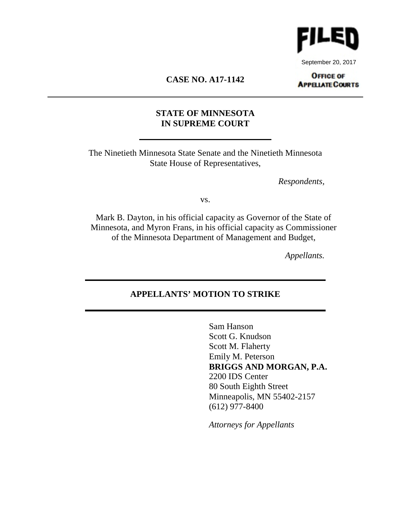

September 20, 2017

# **CASE NO. A17-1142**

## **OFFICE OF APPELIATE COURTS**

# **STATE OF MINNESOTA IN SUPREME COURT**

The Ninetieth Minnesota State Senate and the Ninetieth Minnesota State House of Representatives,

*Respondents,*

vs.

Mark B. Dayton, in his official capacity as Governor of the State of Minnesota, and Myron Frans, in his official capacity as Commissioner of the Minnesota Department of Management and Budget,

*Appellants.*

# **APPELLANTS' MOTION TO STRIKE**

Sam Hanson Scott G. Knudson Scott M. Flaherty Emily M. Peterson **BRIGGS AND MORGAN, P.A.**  2200 IDS Center 80 South Eighth Street Minneapolis, MN 55402-2157 (612) 977-8400

*Attorneys for Appellants*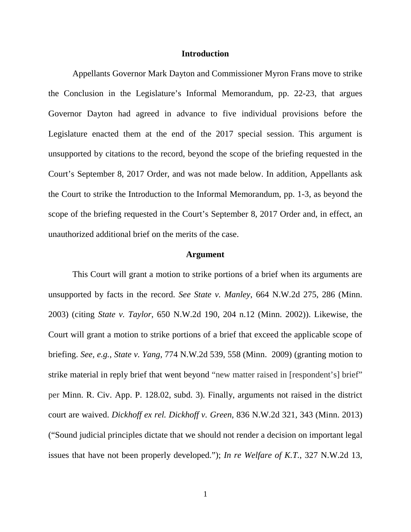#### **Introduction**

Appellants Governor Mark Dayton and Commissioner Myron Frans move to strike the Conclusion in the Legislature's Informal Memorandum, pp. 22-23, that argues Governor Dayton had agreed in advance to five individual provisions before the Legislature enacted them at the end of the 2017 special session. This argument is unsupported by citations to the record, beyond the scope of the briefing requested in the Court's September 8, 2017 Order, and was not made below. In addition, Appellants ask the Court to strike the Introduction to the Informal Memorandum, pp. 1-3, as beyond the scope of the briefing requested in the Court's September 8, 2017 Order and, in effect, an unauthorized additional brief on the merits of the case.

### **Argument**

This Court will grant a motion to strike portions of a brief when its arguments are unsupported by facts in the record. *See State v. Manley*, 664 N.W.2d 275, 286 (Minn. 2003) (citing *State v. Taylor*, 650 N.W.2d 190, 204 n.12 (Minn. 2002)). Likewise, the Court will grant a motion to strike portions of a brief that exceed the applicable scope of briefing. *See, e.g.*, *State v. Yang*, 774 N.W.2d 539, 558 (Minn. 2009) (granting motion to strike material in reply brief that went beyond "new matter raised in [respondent's] brief" per Minn. R. Civ. App. P. 128.02, subd. 3). Finally, arguments not raised in the district court are waived. *Dickhoff ex rel. Dickhoff v. Green*, 836 N.W.2d 321, 343 (Minn. 2013) ("Sound judicial principles dictate that we should not render a decision on important legal issues that have not been properly developed."); *In re Welfare of K.T.*, 327 N.W.2d 13,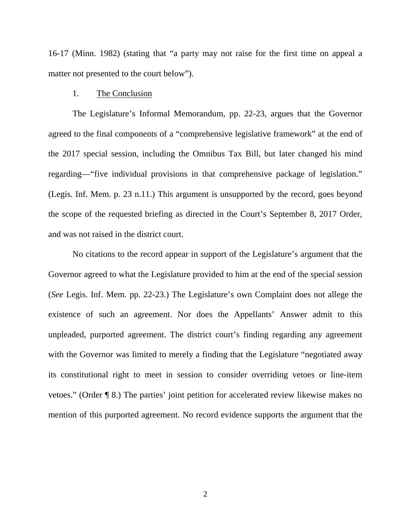16-17 (Minn. 1982) (stating that "a party may not raise for the first time on appeal a matter not presented to the court below").

#### 1. The Conclusion

The Legislature's Informal Memorandum, pp. 22-23, argues that the Governor agreed to the final components of a "comprehensive legislative framework" at the end of the 2017 special session, including the Omnibus Tax Bill, but later changed his mind regarding—"five individual provisions in that comprehensive package of legislation." (Legis. Inf. Mem. p. 23 n.11.) This argument is unsupported by the record, goes beyond the scope of the requested briefing as directed in the Court's September 8, 2017 Order, and was not raised in the district court.

No citations to the record appear in support of the Legislature's argument that the Governor agreed to what the Legislature provided to him at the end of the special session (*See* Legis. Inf. Mem. pp. 22-23.) The Legislature's own Complaint does not allege the existence of such an agreement. Nor does the Appellants' Answer admit to this unpleaded, purported agreement. The district court's finding regarding any agreement with the Governor was limited to merely a finding that the Legislature "negotiated away its constitutional right to meet in session to consider overriding vetoes or line-item vetoes." (Order ¶ 8.) The parties' joint petition for accelerated review likewise makes no mention of this purported agreement. No record evidence supports the argument that the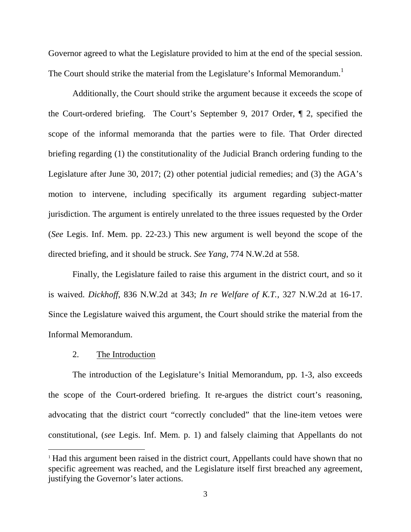Governor agreed to what the Legislature provided to him at the end of the special session. The Court should strike the material from the Legislature's Informal Memorandum.<sup>1</sup>

Additionally, the Court should strike the argument because it exceeds the scope of the Court-ordered briefing. The Court's September 9, 2017 Order, ¶ 2, specified the scope of the informal memoranda that the parties were to file. That Order directed briefing regarding (1) the constitutionality of the Judicial Branch ordering funding to the Legislature after June 30, 2017; (2) other potential judicial remedies; and (3) the AGA's motion to intervene, including specifically its argument regarding subject-matter jurisdiction. The argument is entirely unrelated to the three issues requested by the Order (*See* Legis. Inf. Mem. pp. 22-23.) This new argument is well beyond the scope of the directed briefing, and it should be struck. *See Yang*, 774 N.W.2d at 558.

Finally, the Legislature failed to raise this argument in the district court, and so it is waived. *Dickhoff*, 836 N.W.2d at 343; *In re Welfare of K.T.*, 327 N.W.2d at 16-17. Since the Legislature waived this argument, the Court should strike the material from the Informal Memorandum.

## 2. The Introduction

The introduction of the Legislature's Initial Memorandum, pp. 1-3, also exceeds the scope of the Court-ordered briefing. It re-argues the district court's reasoning, advocating that the district court "correctly concluded" that the line-item vetoes were constitutional, (*see* Legis. Inf. Mem. p. 1) and falsely claiming that Appellants do not

<sup>&</sup>lt;sup>1</sup> Had this argument been raised in the district court, Appellants could have shown that no specific agreement was reached, and the Legislature itself first breached any agreement, justifying the Governor's later actions.